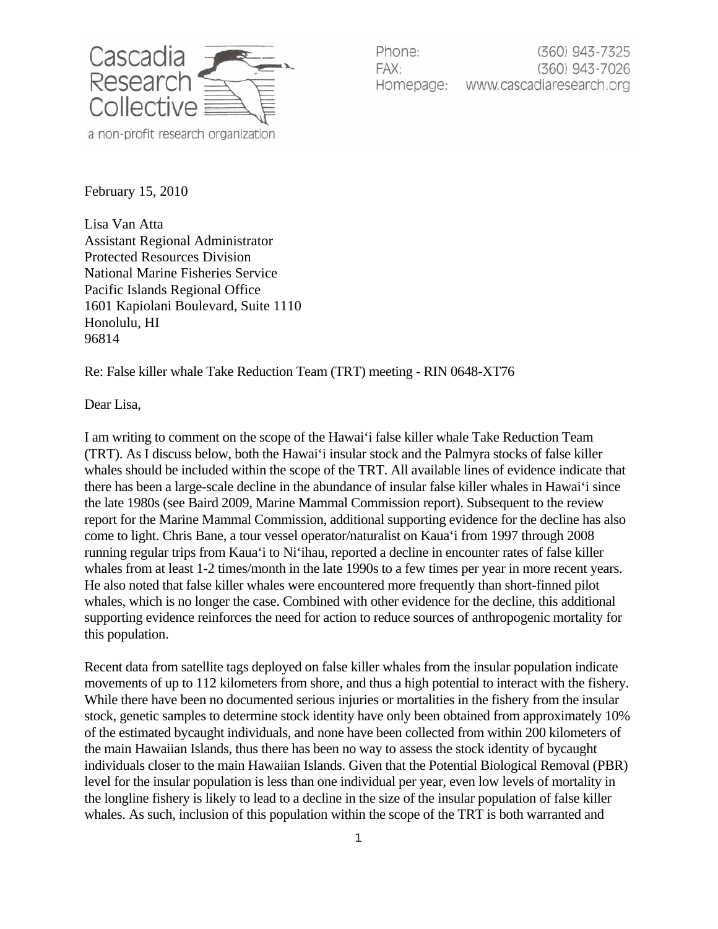

Phone: (360) 943-7325 (360) 943-7026 FAX: www.cascadiaresearch.org Homepage:

February 15, 2010

Lisa Van Atta Assistant Regional Administrator Protected Resources Division National Marine Fisheries Service Pacific Islands Regional Office 1601 Kapiolani Boulevard, Suite 1110 Honolulu, HI 96814

Re: False killer whale Take Reduction Team (TRT) meeting - RIN 0648-XT76

Dear Lisa,

I am writing to comment on the scope of the Hawai'i false killer whale Take Reduction Team (TRT). As I discuss below, both the Hawai'i insular stock and the Palmyra stocks of false killer whales should be included within the scope of the TRT. All available lines of evidence indicate that there has been a large-scale decline in the abundance of insular false killer whales in Hawai'i since the late 1980s (see Baird 2009, Marine Mammal Commission report). Subsequent to the review report for the Marine Mammal Commission, additional supporting evidence for the decline has also come to light. Chris Bane, a tour vessel operator/naturalist on Kaua'i from 1997 through 2008 running regular trips from Kaua'i to Ni'ihau, reported a decline in encounter rates of false killer whales from at least 1-2 times/month in the late 1990s to a few times per year in more recent years. He also noted that false killer whales were encountered more frequently than short-finned pilot whales, which is no longer the case. Combined with other evidence for the decline, this additional supporting evidence reinforces the need for action to reduce sources of anthropogenic mortality for this population.

Recent data from satellite tags deployed on false killer whales from the insular population indicate movements of up to 112 kilometers from shore, and thus a high potential to interact with the fishery. While there have been no documented serious injuries or mortalities in the fishery from the insular stock, genetic samples to determine stock identity have only been obtained from approximately 10% of the estimated bycaught individuals, and none have been collected from within 200 kilometers of the main Hawaiian Islands, thus there has been no way to assess the stock identity of bycaught individuals closer to the main Hawaiian Islands. Given that the Potential Biological Removal (PBR) level for the insular population is less than one individual per year, even low levels of mortality in the longline fishery is likely to lead to a decline in the size of the insular population of false killer whales. As such, inclusion of this population within the scope of the TRT is both warranted and